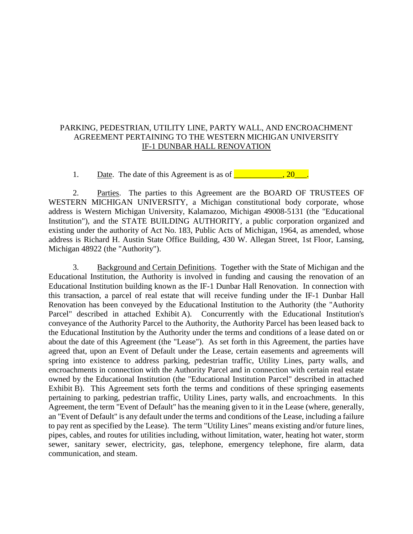# PARKING, PEDESTRIAN, UTILITY LINE, PARTY WALL, AND ENCROACHMENT AGREEMENT PERTAINING TO THE WESTERN MICHIGAN UNIVERSITY IF-1 DUNBAR HALL RENOVATION

1. Date. The date of this Agreement is as of \_\_\_\_\_\_\_\_\_\_\_\_, 20\_\_\_.

2. Parties. The parties to this Agreement are the BOARD OF TRUSTEES OF WESTERN MICHIGAN UNIVERSITY, a Michigan constitutional body corporate, whose address is Western Michigan University, Kalamazoo, Michigan 49008-5131 (the "Educational Institution"), and the STATE BUILDING AUTHORITY, a public corporation organized and existing under the authority of Act No. 183, Public Acts of Michigan, 1964, as amended, whose address is Richard H. Austin State Office Building, 430 W. Allegan Street, 1st Floor, Lansing, Michigan 48922 (the "Authority").

3. Background and Certain Definitions. Together with the State of Michigan and the Educational Institution, the Authority is involved in funding and causing the renovation of an Educational Institution building known as the IF-1 Dunbar Hall Renovation. In connection with this transaction, a parcel of real estate that will receive funding under the IF-1 Dunbar Hall Renovation has been conveyed by the Educational Institution to the Authority (the "Authority Parcel" described in attached Exhibit A). Concurrently with the Educational Institution's conveyance of the Authority Parcel to the Authority, the Authority Parcel has been leased back to the Educational Institution by the Authority under the terms and conditions of a lease dated on or about the date of this Agreement (the "Lease"). As set forth in this Agreement, the parties have agreed that, upon an Event of Default under the Lease, certain easements and agreements will spring into existence to address parking, pedestrian traffic, Utility Lines, party walls, and encroachments in connection with the Authority Parcel and in connection with certain real estate owned by the Educational Institution (the "Educational Institution Parcel" described in attached Exhibit B). This Agreement sets forth the terms and conditions of these springing easements pertaining to parking, pedestrian traffic, Utility Lines, party walls, and encroachments. In this Agreement, the term "Event of Default" has the meaning given to it in the Lease (where, generally, an "Event of Default" is any default under the terms and conditions of the Lease, including a failure to pay rent as specified by the Lease). The term "Utility Lines" means existing and/or future lines, pipes, cables, and routes for utilities including, without limitation, water, heating hot water, storm sewer, sanitary sewer, electricity, gas, telephone, emergency telephone, fire alarm, data communication, and steam.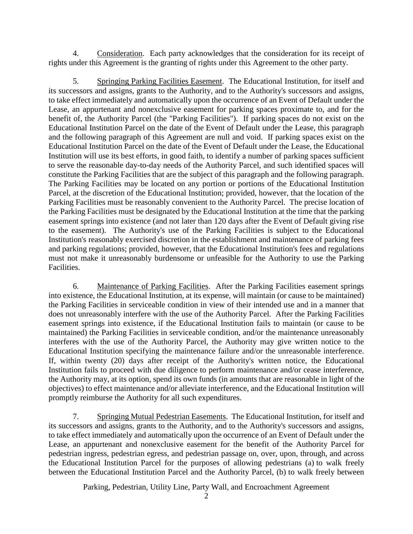4. Consideration. Each party acknowledges that the consideration for its receipt of rights under this Agreement is the granting of rights under this Agreement to the other party.

5. Springing Parking Facilities Easement. The Educational Institution, for itself and its successors and assigns, grants to the Authority, and to the Authority's successors and assigns, to take effect immediately and automatically upon the occurrence of an Event of Default under the Lease, an appurtenant and nonexclusive easement for parking spaces proximate to, and for the benefit of, the Authority Parcel (the "Parking Facilities"). If parking spaces do not exist on the Educational Institution Parcel on the date of the Event of Default under the Lease, this paragraph and the following paragraph of this Agreement are null and void. If parking spaces exist on the Educational Institution Parcel on the date of the Event of Default under the Lease, the Educational Institution will use its best efforts, in good faith, to identify a number of parking spaces sufficient to serve the reasonable day-to-day needs of the Authority Parcel, and such identified spaces will constitute the Parking Facilities that are the subject of this paragraph and the following paragraph. The Parking Facilities may be located on any portion or portions of the Educational Institution Parcel, at the discretion of the Educational Institution; provided, however, that the location of the Parking Facilities must be reasonably convenient to the Authority Parcel. The precise location of the Parking Facilities must be designated by the Educational Institution at the time that the parking easement springs into existence (and not later than 120 days after the Event of Default giving rise to the easement). The Authority's use of the Parking Facilities is subject to the Educational Institution's reasonably exercised discretion in the establishment and maintenance of parking fees and parking regulations; provided, however, that the Educational Institution's fees and regulations must not make it unreasonably burdensome or unfeasible for the Authority to use the Parking Facilities.

6. Maintenance of Parking Facilities. After the Parking Facilities easement springs into existence, the Educational Institution, at its expense, will maintain (or cause to be maintained) the Parking Facilities in serviceable condition in view of their intended use and in a manner that does not unreasonably interfere with the use of the Authority Parcel. After the Parking Facilities easement springs into existence, if the Educational Institution fails to maintain (or cause to be maintained) the Parking Facilities in serviceable condition, and/or the maintenance unreasonably interferes with the use of the Authority Parcel, the Authority may give written notice to the Educational Institution specifying the maintenance failure and/or the unreasonable interference. If, within twenty (20) days after receipt of the Authority's written notice, the Educational Institution fails to proceed with due diligence to perform maintenance and/or cease interference, the Authority may, at its option, spend its own funds (in amounts that are reasonable in light of the objectives) to effect maintenance and/or alleviate interference, and the Educational Institution will promptly reimburse the Authority for all such expenditures.

7. Springing Mutual Pedestrian Easements. The Educational Institution, for itself and its successors and assigns, grants to the Authority, and to the Authority's successors and assigns, to take effect immediately and automatically upon the occurrence of an Event of Default under the Lease, an appurtenant and nonexclusive easement for the benefit of the Authority Parcel for pedestrian ingress, pedestrian egress, and pedestrian passage on, over, upon, through, and across the Educational Institution Parcel for the purposes of allowing pedestrians (a) to walk freely between the Educational Institution Parcel and the Authority Parcel, (b) to walk freely between

Parking, Pedestrian, Utility Line, Party Wall, and Encroachment Agreement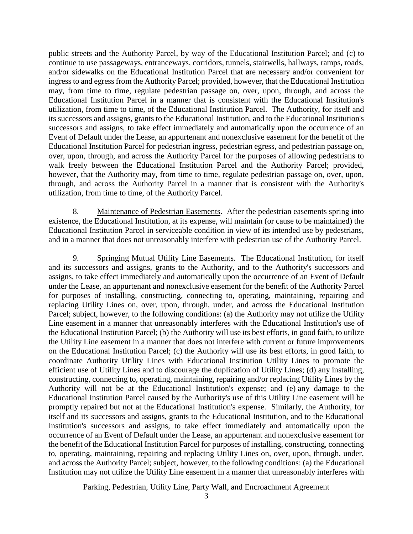public streets and the Authority Parcel, by way of the Educational Institution Parcel; and (c) to continue to use passageways, entranceways, corridors, tunnels, stairwells, hallways, ramps, roads, and/or sidewalks on the Educational Institution Parcel that are necessary and/or convenient for ingress to and egress from the Authority Parcel; provided, however, that the Educational Institution may, from time to time, regulate pedestrian passage on, over, upon, through, and across the Educational Institution Parcel in a manner that is consistent with the Educational Institution's utilization, from time to time, of the Educational Institution Parcel. The Authority, for itself and its successors and assigns, grants to the Educational Institution, and to the Educational Institution's successors and assigns, to take effect immediately and automatically upon the occurrence of an Event of Default under the Lease, an appurtenant and nonexclusive easement for the benefit of the Educational Institution Parcel for pedestrian ingress, pedestrian egress, and pedestrian passage on, over, upon, through, and across the Authority Parcel for the purposes of allowing pedestrians to walk freely between the Educational Institution Parcel and the Authority Parcel; provided, however, that the Authority may, from time to time, regulate pedestrian passage on, over, upon, through, and across the Authority Parcel in a manner that is consistent with the Authority's utilization, from time to time, of the Authority Parcel.

8. Maintenance of Pedestrian Easements. After the pedestrian easements spring into existence, the Educational Institution, at its expense, will maintain (or cause to be maintained) the Educational Institution Parcel in serviceable condition in view of its intended use by pedestrians, and in a manner that does not unreasonably interfere with pedestrian use of the Authority Parcel.

9. Springing Mutual Utility Line Easements. The Educational Institution, for itself and its successors and assigns, grants to the Authority, and to the Authority's successors and assigns, to take effect immediately and automatically upon the occurrence of an Event of Default under the Lease, an appurtenant and nonexclusive easement for the benefit of the Authority Parcel for purposes of installing, constructing, connecting to, operating, maintaining, repairing and replacing Utility Lines on, over, upon, through, under, and across the Educational Institution Parcel; subject, however, to the following conditions: (a) the Authority may not utilize the Utility Line easement in a manner that unreasonably interferes with the Educational Institution's use of the Educational Institution Parcel; (b) the Authority will use its best efforts, in good faith, to utilize the Utility Line easement in a manner that does not interfere with current or future improvements on the Educational Institution Parcel; (c) the Authority will use its best efforts, in good faith, to coordinate Authority Utility Lines with Educational Institution Utility Lines to promote the efficient use of Utility Lines and to discourage the duplication of Utility Lines; (d) any installing, constructing, connecting to, operating, maintaining, repairing and/or replacing Utility Lines by the Authority will not be at the Educational Institution's expense; and (e) any damage to the Educational Institution Parcel caused by the Authority's use of this Utility Line easement will be promptly repaired but not at the Educational Institution's expense. Similarly, the Authority, for itself and its successors and assigns, grants to the Educational Institution, and to the Educational Institution's successors and assigns, to take effect immediately and automatically upon the occurrence of an Event of Default under the Lease, an appurtenant and nonexclusive easement for the benefit of the Educational Institution Parcel for purposes of installing, constructing, connecting to, operating, maintaining, repairing and replacing Utility Lines on, over, upon, through, under, and across the Authority Parcel; subject, however, to the following conditions: (a) the Educational Institution may not utilize the Utility Line easement in a manner that unreasonably interferes with

Parking, Pedestrian, Utility Line, Party Wall, and Encroachment Agreement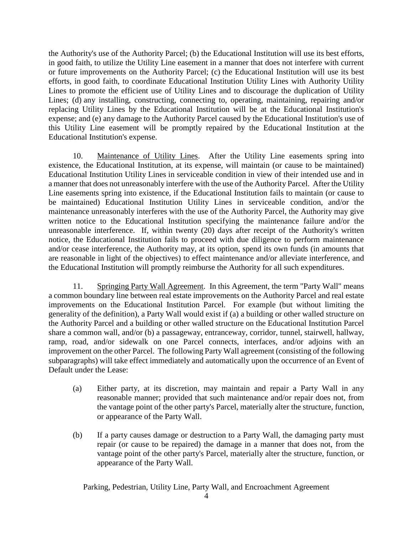the Authority's use of the Authority Parcel; (b) the Educational Institution will use its best efforts, in good faith, to utilize the Utility Line easement in a manner that does not interfere with current or future improvements on the Authority Parcel; (c) the Educational Institution will use its best efforts, in good faith, to coordinate Educational Institution Utility Lines with Authority Utility Lines to promote the efficient use of Utility Lines and to discourage the duplication of Utility Lines; (d) any installing, constructing, connecting to, operating, maintaining, repairing and/or replacing Utility Lines by the Educational Institution will be at the Educational Institution's expense; and (e) any damage to the Authority Parcel caused by the Educational Institution's use of this Utility Line easement will be promptly repaired by the Educational Institution at the Educational Institution's expense.

10. Maintenance of Utility Lines. After the Utility Line easements spring into existence, the Educational Institution, at its expense, will maintain (or cause to be maintained) Educational Institution Utility Lines in serviceable condition in view of their intended use and in a manner that does not unreasonably interfere with the use of the Authority Parcel. After the Utility Line easements spring into existence, if the Educational Institution fails to maintain (or cause to be maintained) Educational Institution Utility Lines in serviceable condition, and/or the maintenance unreasonably interferes with the use of the Authority Parcel, the Authority may give written notice to the Educational Institution specifying the maintenance failure and/or the unreasonable interference. If, within twenty (20) days after receipt of the Authority's written notice, the Educational Institution fails to proceed with due diligence to perform maintenance and/or cease interference, the Authority may, at its option, spend its own funds (in amounts that are reasonable in light of the objectives) to effect maintenance and/or alleviate interference, and the Educational Institution will promptly reimburse the Authority for all such expenditures.

11. Springing Party Wall Agreement. In this Agreement, the term "Party Wall" means a common boundary line between real estate improvements on the Authority Parcel and real estate improvements on the Educational Institution Parcel. For example (but without limiting the generality of the definition), a Party Wall would exist if (a) a building or other walled structure on the Authority Parcel and a building or other walled structure on the Educational Institution Parcel share a common wall, and/or (b) a passageway, entranceway, corridor, tunnel, stairwell, hallway, ramp, road, and/or sidewalk on one Parcel connects, interfaces, and/or adjoins with an improvement on the other Parcel. The following Party Wall agreement (consisting of the following subparagraphs) will take effect immediately and automatically upon the occurrence of an Event of Default under the Lease:

- (a) Either party, at its discretion, may maintain and repair a Party Wall in any reasonable manner; provided that such maintenance and/or repair does not, from the vantage point of the other party's Parcel, materially alter the structure, function, or appearance of the Party Wall.
- (b) If a party causes damage or destruction to a Party Wall, the damaging party must repair (or cause to be repaired) the damage in a manner that does not, from the vantage point of the other party's Parcel, materially alter the structure, function, or appearance of the Party Wall.

Parking, Pedestrian, Utility Line, Party Wall, and Encroachment Agreement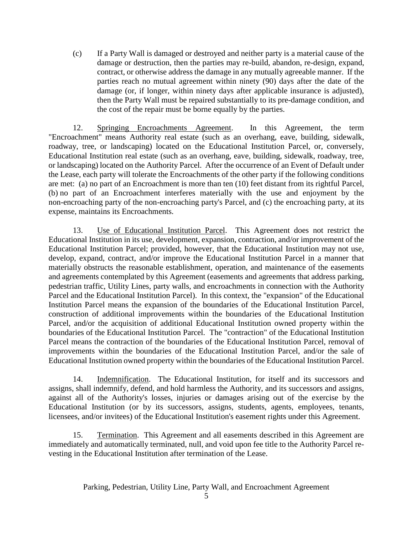(c) If a Party Wall is damaged or destroyed and neither party is a material cause of the damage or destruction, then the parties may re-build, abandon, re-design, expand, contract, or otherwise address the damage in any mutually agreeable manner. If the parties reach no mutual agreement within ninety (90) days after the date of the damage (or, if longer, within ninety days after applicable insurance is adjusted), then the Party Wall must be repaired substantially to its pre-damage condition, and the cost of the repair must be borne equally by the parties.

12. Springing Encroachments Agreement. In this Agreement, the term "Encroachment" means Authority real estate (such as an overhang, eave, building, sidewalk, roadway, tree, or landscaping) located on the Educational Institution Parcel, or, conversely, Educational Institution real estate (such as an overhang, eave, building, sidewalk, roadway, tree, or landscaping) located on the Authority Parcel. After the occurrence of an Event of Default under the Lease, each party will tolerate the Encroachments of the other party if the following conditions are met: (a) no part of an Encroachment is more than ten (10) feet distant from its rightful Parcel, (b) no part of an Encroachment interferes materially with the use and enjoyment by the non-encroaching party of the non-encroaching party's Parcel, and (c) the encroaching party, at its expense, maintains its Encroachments.

13. Use of Educational Institution Parcel. This Agreement does not restrict the Educational Institution in its use, development, expansion, contraction, and/or improvement of the Educational Institution Parcel; provided, however, that the Educational Institution may not use, develop, expand, contract, and/or improve the Educational Institution Parcel in a manner that materially obstructs the reasonable establishment, operation, and maintenance of the easements and agreements contemplated by this Agreement (easements and agreements that address parking, pedestrian traffic, Utility Lines, party walls, and encroachments in connection with the Authority Parcel and the Educational Institution Parcel). In this context, the "expansion" of the Educational Institution Parcel means the expansion of the boundaries of the Educational Institution Parcel, construction of additional improvements within the boundaries of the Educational Institution Parcel, and/or the acquisition of additional Educational Institution owned property within the boundaries of the Educational Institution Parcel. The "contraction" of the Educational Institution Parcel means the contraction of the boundaries of the Educational Institution Parcel, removal of improvements within the boundaries of the Educational Institution Parcel, and/or the sale of Educational Institution owned property within the boundaries of the Educational Institution Parcel.

14. Indemnification. The Educational Institution, for itself and its successors and assigns, shall indemnify, defend, and hold harmless the Authority, and its successors and assigns, against all of the Authority's losses, injuries or damages arising out of the exercise by the Educational Institution (or by its successors, assigns, students, agents, employees, tenants, licensees, and/or invitees) of the Educational Institution's easement rights under this Agreement.

15. Termination. This Agreement and all easements described in this Agreement are immediately and automatically terminated, null, and void upon fee title to the Authority Parcel revesting in the Educational Institution after termination of the Lease.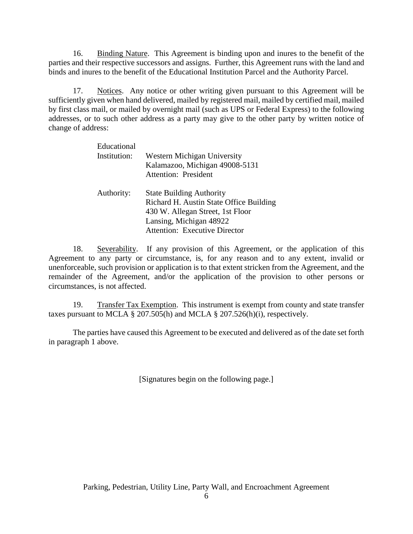16. Binding Nature. This Agreement is binding upon and inures to the benefit of the parties and their respective successors and assigns. Further, this Agreement runs with the land and binds and inures to the benefit of the Educational Institution Parcel and the Authority Parcel.

17. Notices. Any notice or other writing given pursuant to this Agreement will be sufficiently given when hand delivered, mailed by registered mail, mailed by certified mail, mailed by first class mail, or mailed by overnight mail (such as UPS or Federal Express) to the following addresses, or to such other address as a party may give to the other party by written notice of change of address:

| Educational<br>Institution: | Western Michigan University<br>Kalamazoo, Michigan 49008-5131<br><b>Attention: President</b>                                                                                      |
|-----------------------------|-----------------------------------------------------------------------------------------------------------------------------------------------------------------------------------|
| Authority:                  | <b>State Building Authority</b><br>Richard H. Austin State Office Building<br>430 W. Allegan Street, 1st Floor<br>Lansing, Michigan 48922<br><b>Attention: Executive Director</b> |

18. Severability. If any provision of this Agreement, or the application of this Agreement to any party or circumstance, is, for any reason and to any extent, invalid or unenforceable, such provision or application is to that extent stricken from the Agreement, and the remainder of the Agreement, and/or the application of the provision to other persons or circumstances, is not affected.

19. Transfer Tax Exemption. This instrument is exempt from county and state transfer taxes pursuant to MCLA § 207.505(h) and MCLA § 207.526(h)(i), respectively.

The parties have caused this Agreement to be executed and delivered as of the date set forth in paragraph 1 above.

[Signatures begin on the following page.]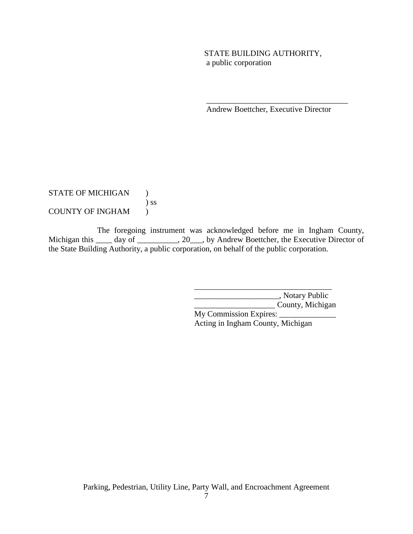# STATE BUILDING AUTHORITY, a public corporation

Andrew Boettcher, Executive Director

\_\_\_\_\_\_\_\_\_\_\_\_\_\_\_\_\_\_\_\_\_\_\_\_\_\_\_\_\_\_\_\_\_\_\_

STATE OF MICHIGAN ) ) ss COUNTY OF INGHAM )

The foregoing instrument was acknowledged before me in Ingham County, Michigan this \_\_\_\_ day of \_\_\_\_\_\_\_\_, 20\_\_\_, by Andrew Boettcher, the Executive Director of the State Building Authority, a public corporation, on behalf of the public corporation.

> \_\_\_\_\_\_\_\_\_\_\_\_\_\_\_\_\_\_\_\_\_, Notary Public \_\_\_\_\_\_\_\_\_\_\_\_\_\_\_\_\_\_\_\_ County, Michigan

My Commission Expires: \_\_\_\_\_\_\_\_\_\_\_\_\_\_ Acting in Ingham County, Michigan

\_\_\_\_\_\_\_\_\_\_\_\_\_\_\_\_\_\_\_\_\_\_\_\_\_\_\_\_\_\_\_\_\_\_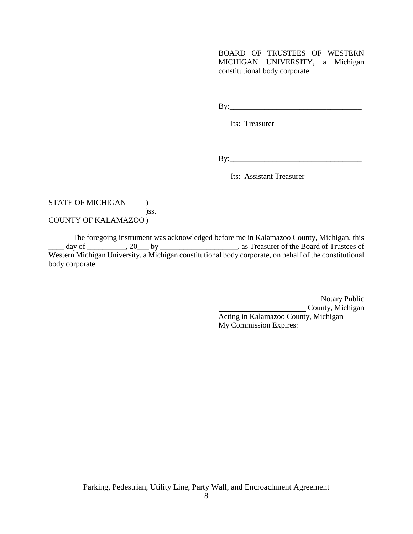BOARD OF TRUSTEES OF WESTERN MICHIGAN UNIVERSITY, a Michigan constitutional body corporate

By:\_\_\_\_\_\_\_\_\_\_\_\_\_\_\_\_\_\_\_\_\_\_\_\_\_\_\_\_\_\_\_\_\_\_

Its: Treasurer

By:\_\_\_\_\_\_\_\_\_\_\_\_\_\_\_\_\_\_\_\_\_\_\_\_\_\_\_\_\_\_\_\_\_\_

Its: Assistant Treasurer

#### STATE OF MICHIGAN  $\qquad$  ) )ss. COUNTY OF KALAMAZOO )

The foregoing instrument was acknowledged before me in Kalamazoo County, Michigan, this day of \_\_\_\_\_\_\_\_\_\_, 20\_\_\_ by \_\_\_\_\_\_\_\_\_\_\_\_\_\_\_\_\_\_\_\_, as Treasurer of the Board of Trustees of Western Michigan University, a Michigan constitutional body corporate, on behalf of the constitutional body corporate.

> Notary Public County, Michigan Acting in Kalamazoo County, Michigan My Commission Expires: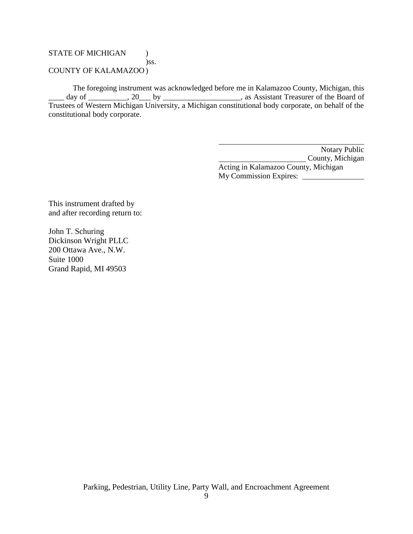### STATE OF MICHIGAN  $\qquad$  ) )ss. COUNTY OF KALAMAZOO )

The foregoing instrument was acknowledged before me in Kalamazoo County, Michigan, this day of \_\_\_\_\_\_\_\_, 20\_\_\_ by \_\_\_\_\_\_\_\_\_\_\_\_\_\_\_\_\_, as Assistant Treasurer of the Board of Trustees of Western Michigan University, a Michigan constitutional body corporate, on behalf of the constitutional body corporate.

> Notary Public County, Michigan Acting in Kalamazoo County, Michigan My Commission Expires:

This instrument drafted by and after recording return to:

John T. Schuring Dickinson Wright PLLC 200 Ottawa Ave., N.W. Suite 1000 Grand Rapid, MI 49503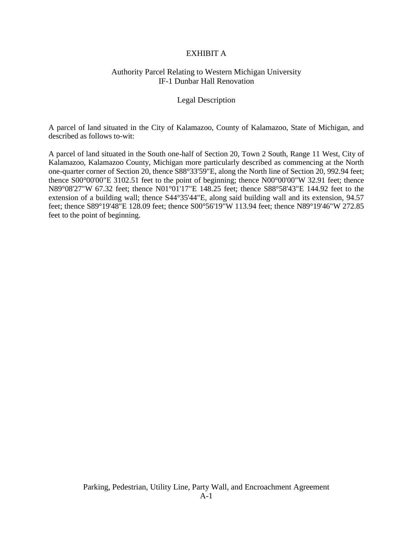### EXHIBIT A

### Authority Parcel Relating to Western Michigan University IF-1 Dunbar Hall Renovation

#### Legal Description

A parcel of land situated in the City of Kalamazoo, County of Kalamazoo, State of Michigan, and described as follows to-wit:

A parcel of land situated in the South one-half of Section 20, Town 2 South, Range 11 West, City of Kalamazoo, Kalamazoo County, Michigan more particularly described as commencing at the North one-quarter corner of Section 20, thence S88°33'59"E, along the North line of Section 20, 992.94 feet; thence S00°00'00"E 3102.51 feet to the point of beginning; thence N00°00'00"W 32.91 feet; thence N89°08'27"W 67.32 feet; thence N01°01'17"E 148.25 feet; thence S88°58'43"E 144.92 feet to the extension of a building wall; thence S44°35'44"E, along said building wall and its extension, 94.57 feet; thence S89°19'48"E 128.09 feet; thence S00°56'19"W 113.94 feet; thence N89°19'46"W 272.85 feet to the point of beginning.